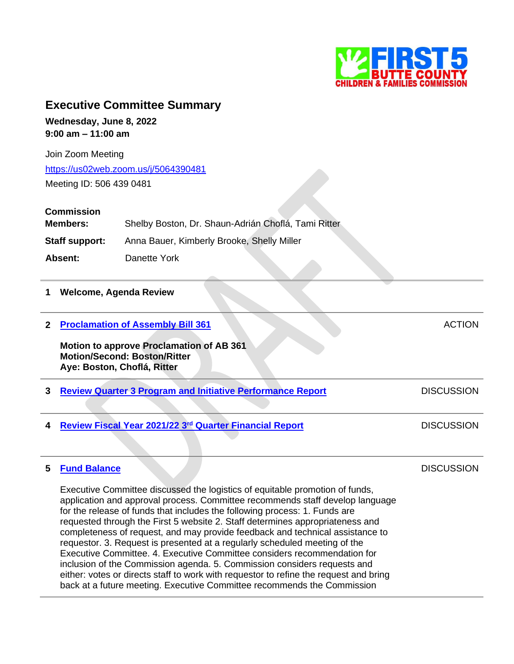

**DISCUSSION** 

# **Executive Committee Summary**

**Wednesday, June 8, 2022 9:00 am – 11:00 am**

Join Zoom Meeting <https://us02web.zoom.us/j/5064390481> Meeting ID: 506 439 0481

### **Commission**

| Members:              | Shelby Boston, Dr. Shaun-Adrián Choflá, Tami Ritter |  |
|-----------------------|-----------------------------------------------------|--|
| <b>Staff support:</b> | Anna Bauer, Kimberly Brooke, Shelly Miller          |  |
| Absent:               | Danette York                                        |  |

#### **1 Welcome, Agenda Review**

| <b>Proclamation of Assembly Bill 361</b><br><b>Motion to approve Proclamation of AB 361</b><br><b>Motion/Second: Boston/Ritter</b><br>Aye: Boston, Choflá, Ritter | ACTION            |
|-------------------------------------------------------------------------------------------------------------------------------------------------------------------|-------------------|
| <b>Review Quarter 3 Program and Initiative Performance Report</b>                                                                                                 | <b>DISCUSSION</b> |
| Review Fiscal Year 2021/22 3rd Quarter Financial Report                                                                                                           | <b>DISCUSSION</b> |

#### **5 [Fund Balance](https://first5butte.org/assets/Meetings/Agendas/executive-committee/2022-06-08/Item-5-Fund-Balance.pdf)**

Executive Committee discussed the logistics of equitable promotion of funds, application and approval process. Committee recommends staff develop language for the release of funds that includes the following process: 1. Funds are requested through the First 5 website 2. Staff determines appropriateness and completeness of request, and may provide feedback and technical assistance to requestor. 3. Request is presented at a regularly scheduled meeting of the Executive Committee. 4. Executive Committee considers recommendation for inclusion of the Commission agenda. 5. Commission considers requests and either: votes or directs staff to work with requestor to refine the request and bring back at a future meeting. Executive Committee recommends the Commission